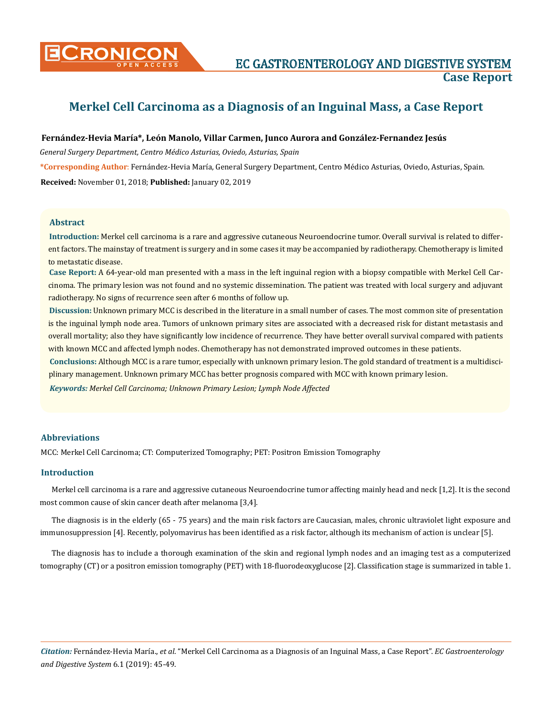

# **Merkel Cell Carcinoma as a Diagnosis of an Inguinal Mass, a Case Report**

#### **Fernández-Hevia María\*, León Manolo, Villar Carmen, Junco Aurora and González-Fernandez Jesús**

*General Surgery Department, Centro Médico Asturias, Oviedo, Asturias, Spain*

**\*Corresponding Author**: Fernández-Hevia María, General Surgery Department, Centro Médico Asturias, Oviedo, Asturias, Spain. **Received:** November 01, 2018; **Published:** January 02, 2019

#### **Abstract**

**Introduction:** Merkel cell carcinoma is a rare and aggressive cutaneous Neuroendocrine tumor. Overall survival is related to different factors. The mainstay of treatment is surgery and in some cases it may be accompanied by radiotherapy. Chemotherapy is limited to metastatic disease.

**Case Report:** A 64-year-old man presented with a mass in the left inguinal region with a biopsy compatible with Merkel Cell Carcinoma. The primary lesion was not found and no systemic dissemination. The patient was treated with local surgery and adjuvant radiotherapy. No signs of recurrence seen after 6 months of follow up.

**Discussion:** Unknown primary MCC is described in the literature in a small number of cases. The most common site of presentation is the inguinal lymph node area. Tumors of unknown primary sites are associated with a decreased risk for distant metastasis and overall mortality; also they have significantly low incidence of recurrence. They have better overall survival compared with patients with known MCC and affected lymph nodes. Chemotherapy has not demonstrated improved outcomes in these patients.

**Conclusions:** Although MCC is a rare tumor, especially with unknown primary lesion. The gold standard of treatment is a multidisciplinary management. Unknown primary MCC has better prognosis compared with MCC with known primary lesion.

*Keywords: Merkel Cell Carcinoma; Unknown Primary Lesion; Lymph Node Affected*

### **Abbreviations**

MCC: Merkel Cell Carcinoma; CT: Computerized Tomography; PET: Positron Emission Tomography

#### **Introduction**

Merkel cell carcinoma is a rare and aggressive cutaneous Neuroendocrine tumor affecting mainly head and neck [1,2]. It is the second most common cause of skin cancer death after melanoma [3,4].

The diagnosis is in the elderly (65 - 75 years) and the main risk factors are Caucasian, males, chronic ultraviolet light exposure and immunosuppression [4]. Recently, polyomavirus has been identified as a risk factor, although its mechanism of action is unclear [5].

The diagnosis has to include a thorough examination of the skin and regional lymph nodes and an imaging test as a computerized tomography (CT) or a positron emission tomography (PET) with 18-fluorodeoxyglucose [2]. Classification stage is summarized in table 1.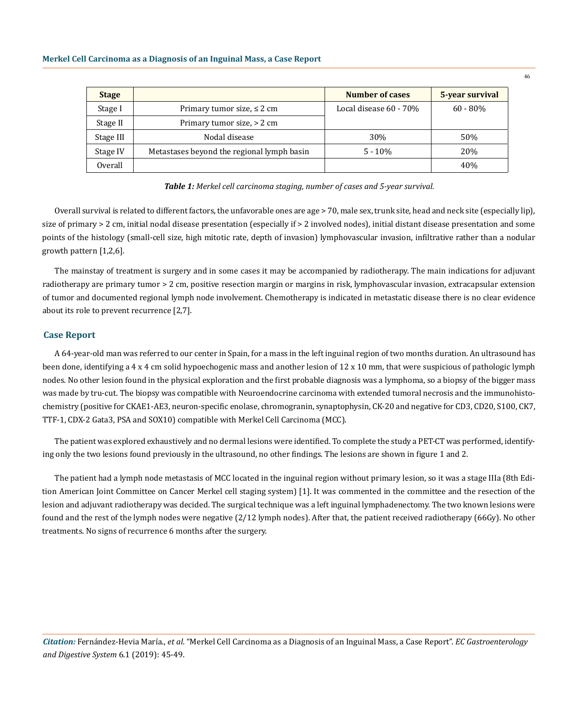| <b>Stage</b> |                                            | Number of cases        | 5-year survival |
|--------------|--------------------------------------------|------------------------|-----------------|
| Stage I      | Primary tumor size, $\leq 2$ cm            | Local disease 60 - 70% | $60 - 80\%$     |
| Stage II     | Primary tumor size, > 2 cm                 |                        |                 |
| Stage III    | Nodal disease                              | 30%                    | 50%             |
| Stage IV     | Metastases beyond the regional lymph basin | $5 - 10\%$             | 20%             |
| Overall      |                                            |                        | 40%             |

*Table 1: Merkel cell carcinoma staging, number of cases and 5-year survival.*

Overall survival is related to different factors, the unfavorable ones are age > 70, male sex, trunk site, head and neck site (especially lip), size of primary > 2 cm, initial nodal disease presentation (especially if > 2 involved nodes), initial distant disease presentation and some points of the histology (small-cell size, high mitotic rate, depth of invasion) lymphovascular invasion, infiltrative rather than a nodular growth pattern [1,2,6].

The mainstay of treatment is surgery and in some cases it may be accompanied by radiotherapy. The main indications for adjuvant radiotherapy are primary tumor > 2 cm, positive resection margin or margins in risk, lymphovascular invasion, extracapsular extension of tumor and documented regional lymph node involvement. Chemotherapy is indicated in metastatic disease there is no clear evidence about its role to prevent recurrence [2,7].

#### **Case Report**

A 64-year-old man was referred to our center in Spain, for a mass in the left inguinal region of two months duration. An ultrasound has been done, identifying a 4 x 4 cm solid hypoechogenic mass and another lesion of 12 x 10 mm, that were suspicious of pathologic lymph nodes. No other lesion found in the physical exploration and the first probable diagnosis was a lymphoma, so a biopsy of the bigger mass was made by tru-cut. The biopsy was compatible with Neuroendocrine carcinoma with extended tumoral necrosis and the immunohistochemistry (positive for CKAE1-AE3, neuron-specific enolase, chromogranin, synaptophysin, CK-20 and negative for CD3, CD20, S100, CK7, TTF-1, CDX-2 Gata3, PSA and SOX10) compatible with Merkel Cell Carcinoma (MCC).

The patient was explored exhaustively and no dermal lesions were identified. To complete the study a PET-CT was performed, identifying only the two lesions found previously in the ultrasound, no other findings. The lesions are shown in figure 1 and 2.

The patient had a lymph node metastasis of MCC located in the inguinal region without primary lesion, so it was a stage IIIa (8th Edition American Joint Committee on Cancer Merkel cell staging system) [1]. It was commented in the committee and the resection of the lesion and adjuvant radiotherapy was decided. The surgical technique was a left inguinal lymphadenectomy. The two known lesions were found and the rest of the lymph nodes were negative (2/12 lymph nodes). After that, the patient received radiotherapy (66Gy). No other treatments. No signs of recurrence 6 months after the surgery.

46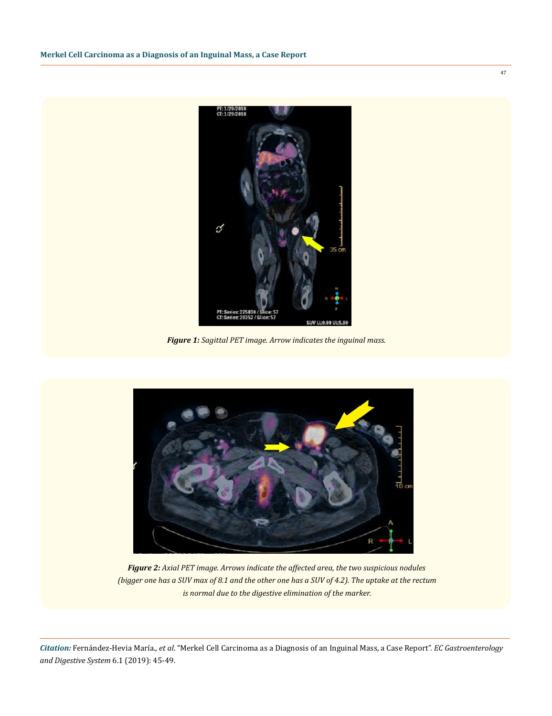

*Figure 1: Sagittal PET image. Arrow indicates the inguinal mass.*



*Figure 2: Axial PET image. Arrows indicate the affected area, the two suspicious nodules (bigger one has a SUV max of 8.1 and the other one has a SUV of 4.2). The uptake at the rectum is normal due to the digestive elimination of the marker.*

*Citation:* Fernández-Hevia María., *et al*. "Merkel Cell Carcinoma as a Diagnosis of an Inguinal Mass, a Case Report". *EC Gastroenterology and Digestive System* 6.1 (2019): 45-49.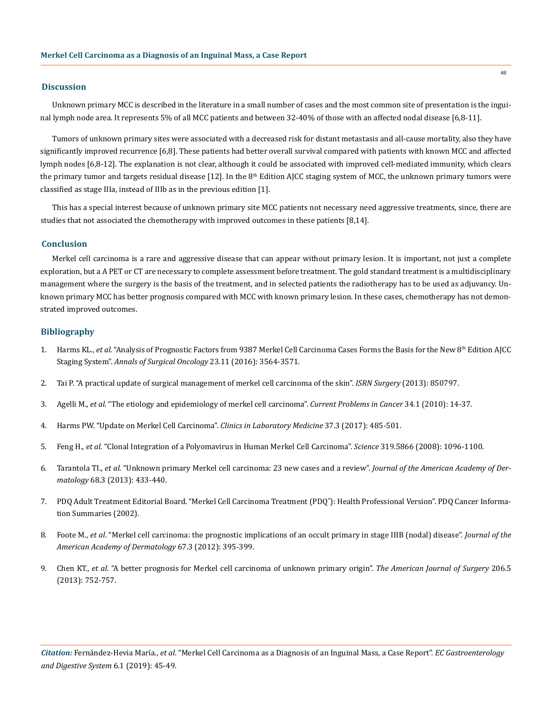#### **Discussion**

Unknown primary MCC is described in the literature in a small number of cases and the most common site of presentation is the inguinal lymph node area. It represents 5% of all MCC patients and between 32-40% of those with an affected nodal disease [6,8-11].

Tumors of unknown primary sites were associated with a decreased risk for distant metastasis and all-cause mortality, also they have significantly improved recurrence [6,8]. These patients had better overall survival compared with patients with known MCC and affected lymph nodes [6,8-12]. The explanation is not clear, although it could be associated with improved cell-mediated immunity, which clears the primary tumor and targets residual disease [12]. In the 8<sup>th</sup> Edition AJCC staging system of MCC, the unknown primary tumors were classified as stage IIIa, instead of IIIb as in the previous edition [1].

This has a special interest because of unknown primary site MCC patients not necessary need aggressive treatments, since, there are studies that not associated the chemotherapy with improved outcomes in these patients [8,14].

#### **Conclusion**

Merkel cell carcinoma is a rare and aggressive disease that can appear without primary lesion. It is important, not just a complete exploration, but a A PET or CT are necessary to complete assessment before treatment. The gold standard treatment is a multidisciplinary management where the surgery is the basis of the treatment, and in selected patients the radiotherapy has to be used as adjuvancy. Unknown primary MCC has better prognosis compared with MCC with known primary lesion. In these cases, chemotherapy has not demonstrated improved outcomes.

## **Bibliography**

- 1. Harms KL., *et al*[. "Analysis of Prognostic Factors from 9387 Merkel Cell Carcinoma Cases Forms the Basis for the New 8th Edition AJCC](https://www.ncbi.nlm.nih.gov/pubmed/27198511) Staging System". *[Annals of Surgical Oncology](https://www.ncbi.nlm.nih.gov/pubmed/27198511)* 23.11 (2016): 3564-3571.
- 2. [Tai P. "A practical update of surgical management of merkel cell carcinoma of the skin".](https://www.ncbi.nlm.nih.gov/pubmed/23431473) *ISRN Surgery* (2013): 850797.
- 3. Agelli M., *et al*[. "The etiology and epidemiology of merkel cell carcinoma".](https://www.ncbi.nlm.nih.gov/pubmed/20371072) *Current Problems in Cancer* 34.1 (2010): 14-37.
- 4. [Harms PW. "Update on Merkel Cell Carcinoma".](https://www.ncbi.nlm.nih.gov/pubmed/28802497) *Clinics in Laboratory Medicine* 37.3 (2017): 485-501.
- 5. Feng H., *et al*[. "Clonal Integration of a Polyomavirus in Human Merkel Cell Carcinoma".](https://www.ncbi.nlm.nih.gov/pubmed/18202256) *Science* 319.5866 (2008): 1096-1100.
- 6. Tarantola TI., *et al*[. "Unknown primary Merkel cell carcinoma: 23 new cases and a review".](https://www.ncbi.nlm.nih.gov/pubmed/23182060) *Journal of the American Academy of Dermatology* [68.3 \(2013\): 433-440.](https://www.ncbi.nlm.nih.gov/pubmed/23182060)
- 7. [PDQ Adult Treatment Editorial Board. "Merkel Cell Carcinoma Treatment \(PDQ](http://www.ncbi.nlm.nih.gov/pubmed/26389158)® ): Health Professional Version". PDQ Cancer Informa[tion Summaries \(2002\).](http://www.ncbi.nlm.nih.gov/pubmed/26389158)
- 8. Foote M., *et al*[. "Merkel cell carcinoma: the prognostic implications of an occult primary in stage IIIB \(nodal\) disease".](https://www.ncbi.nlm.nih.gov/pubmed/22030017) *Journal of the [American Academy of Dermatology](https://www.ncbi.nlm.nih.gov/pubmed/22030017)* 67.3 (2012): 395-399.
- 9. Chen KT., *et al*[. "A better prognosis for Merkel cell carcinoma of unknown primary origin".](https://www.ncbi.nlm.nih.gov/pubmed/23835211) *The American Journal of Surgery* 206.5 [\(2013\): 752-757.](https://www.ncbi.nlm.nih.gov/pubmed/23835211)